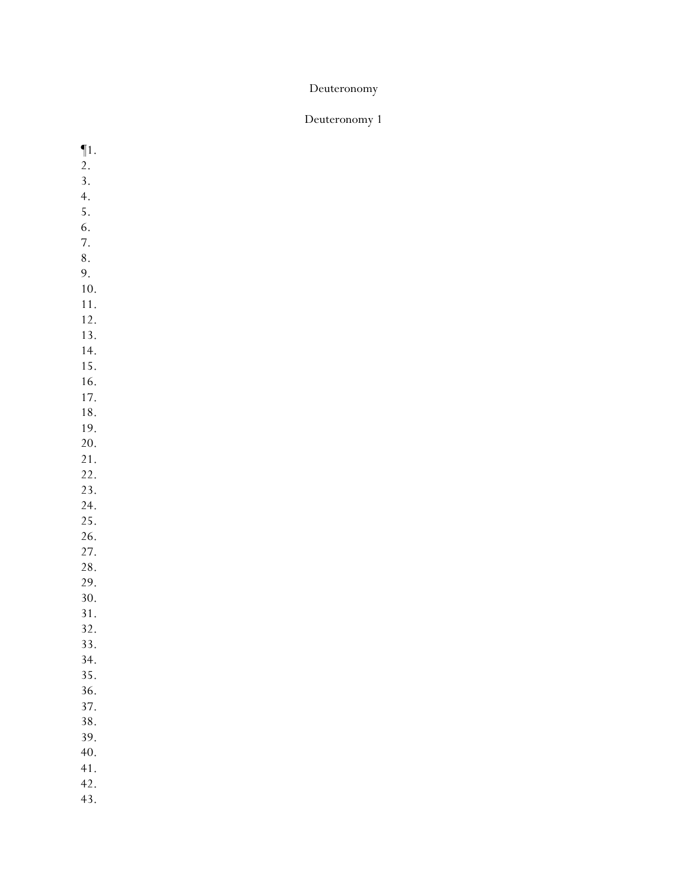## Deuteronomy 1

¶1. 2. 3. 4. 5. 6. 7. 8. 9. 10. 11. 12. 13. 14. 15. 16. 17. 18. 19. 20. 21. 22. 23. 24. 25. 26. 27. 28. 29. 30. 31. 32. 33. 34. 35. 36. 37. 38. 39. 40. 41. 42. 43.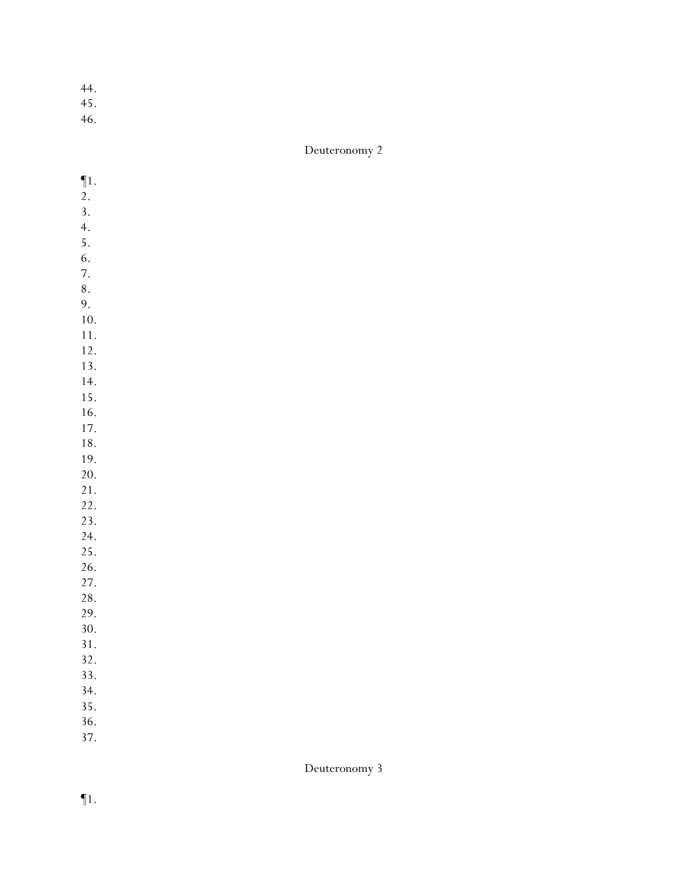- 45.
- 46.

| $\P1.$     |  |  |  |
|------------|--|--|--|
| 2.         |  |  |  |
| 3.         |  |  |  |
| 4.         |  |  |  |
| 5.         |  |  |  |
| 6.         |  |  |  |
| 7.         |  |  |  |
| 8.         |  |  |  |
| 9.         |  |  |  |
| 10.        |  |  |  |
| 11.        |  |  |  |
|            |  |  |  |
| 12.<br>13. |  |  |  |
|            |  |  |  |
| 14.        |  |  |  |
| 15.        |  |  |  |
| 16.        |  |  |  |
| 17.        |  |  |  |
| 18.        |  |  |  |
| 19.        |  |  |  |
| 20.        |  |  |  |
| 21.        |  |  |  |
| 22.        |  |  |  |
| 23.        |  |  |  |
| 24.        |  |  |  |
| 25.        |  |  |  |
| 26.        |  |  |  |
| 27.        |  |  |  |
| 28.        |  |  |  |
| 29.        |  |  |  |
| 30.        |  |  |  |
| 31.        |  |  |  |
| 32.        |  |  |  |
| 33.        |  |  |  |
| 34.        |  |  |  |
| 35.        |  |  |  |
| 36.        |  |  |  |
| 37.        |  |  |  |
|            |  |  |  |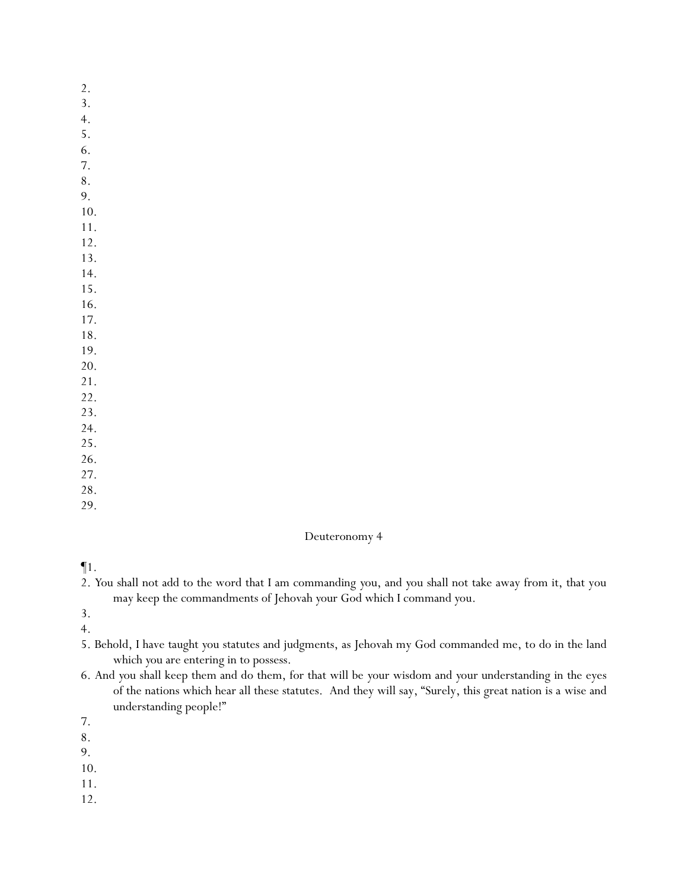- 2.
- 3.
- 4.
- 5. 6.
- 7.
- 8.
- 9.
- 10.
- 11.
- 12.
- 13.
- 14.
- 15. 16.
- 17.
- 18.
- 19.
- 20.
- 21.
- 22.
- 23.
- 24.
- 25. 26.
- 27.
- 28.
- 29.

 $\P1$ .

2. *Y*ou shall not add to the word that I am commanding *y*ou, and *y*ou shall not take away from it, that you may keep the commandments of Jehovah *y*our God which I command *y*ou.

3.

4.

- 5. Behold, I have taught *y*ou statutes and judgments, as Jehovah my God commanded me, to do in the land which *y*ou are entering in to possess.
- 6. And *y*ou shall keep them and do them, for that will be *y*our wisdom and *y*our understanding in the eyes of the nations which hear all these statutes. And they will say, "Surely, this great nation is a wise and understanding people!"
- 7.
- 8.
- 9.

- 11.
- 12.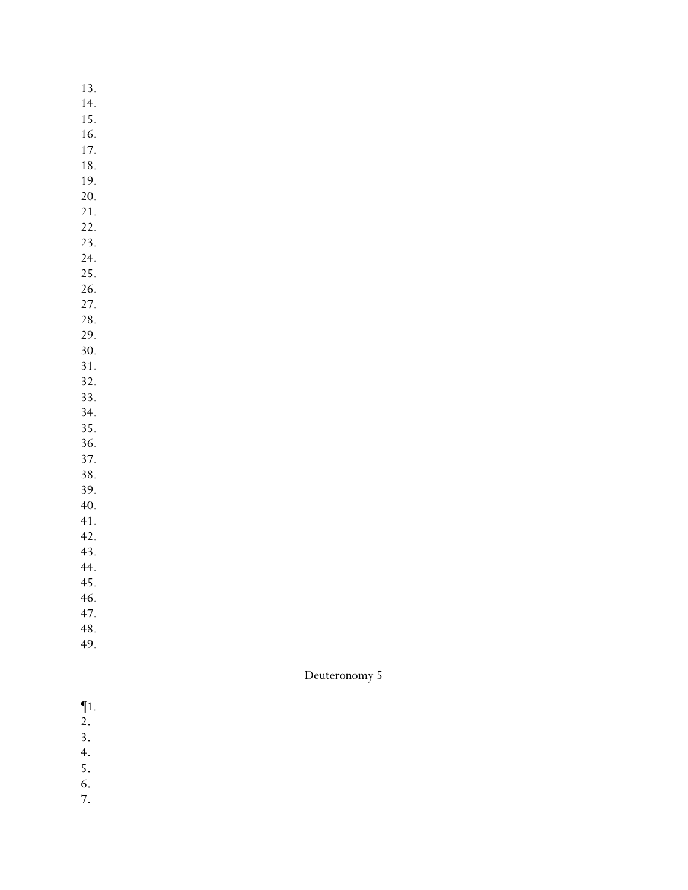13. 14. 15.

- 16.
- 17.
- 18.
- 19. 20.
- 21.
- 22.
- 23.
- 24.
- 25.
- 26.

27.

28. 29.

30.

31.

32.

- 33.
- 34.
- 35.
- 36. 37.
- 38.
- 39.
- 40.
- 41.
- 42.
- 43.
- 44. 45.
- 46.
- 47.
- 48.
- 49.

- ¶1.
- 2.
- 3.
- 4.
- 5.
- 6.
- 7.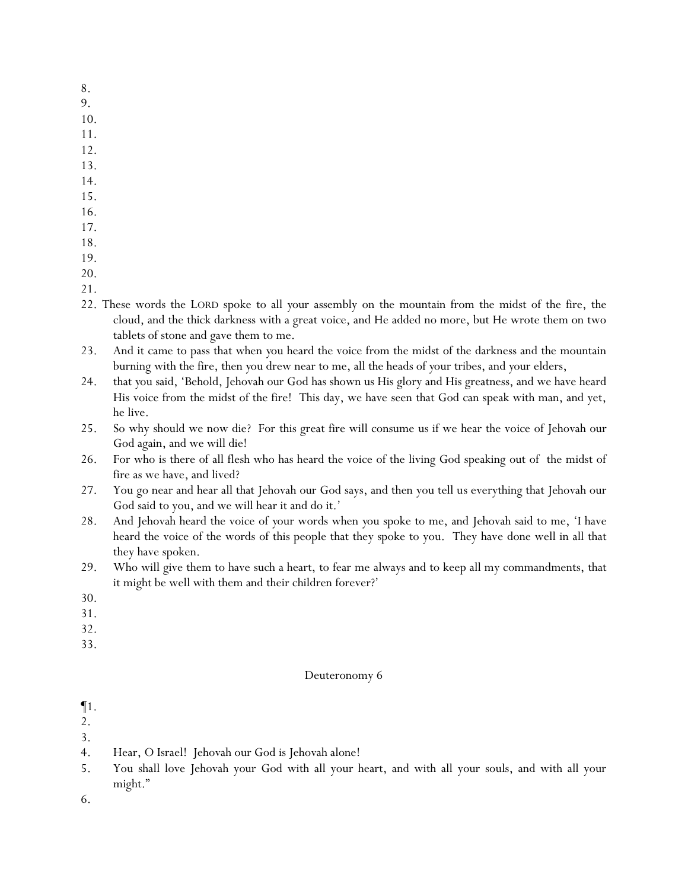- 8.
- 9.
- 10.
- 11.
- 12.
- 13.
- 14.
- 15.
- 16.
- 17.
- 18. 19.
- 
- 20.
- 21.
- 22. These words the LORD spoke to all *y*our assembly on the mountain from the midst of the fire, the cloud, and the thick darkness with a great voice, and He added no more, but He wrote them on two tablets of stone and gave them to me.
- 23. And it came to pass that when *y*ou heard the voice from the midst of the darkness and the mountain burning with the fire, then *y*ou drew near to me, all the heads of *y*our tribes, and *y*our elders,
- 24. that *y*ou said, 'Behold, Jehovah our God has shown us His glory and His greatness, and we have heard His voice from the midst of the fire! This day, we have seen that God can speak with man, and yet, he live.
- 25. So why should we now die? For this great fire will consume us if we hear the voice of Jehovah our God again, and we will die!
- 26. For who is there of all flesh who has heard the voice of the living God speaking out of the midst of fire as we have, and lived?
- 27. You go near and hear all that Jehovah our God says, and then you tell us everything that Jehovah our God said to you, and we will hear it and do it.'
- 28. And Jehovah heard the voice of *y*our words when *y*ou spoke to me, and Jehovah said to me, 'I have heard the voice of the words of this people that they spoke to you. They have done well in all that they have spoken.
- 29. Who will give them to have such a heart, to fear me always and to keep all my commandments, that it might be well with them and their children forever?'
- 30.
- 31.
- 32.
- 33.

¶1.

- 2.
- 3.
- 4. Hear, O Israel! Jehovah our God is Jehovah alone!
- 5. You shall love Jehovah your God with all your heart, and with all your souls, and with all your might."
- 6.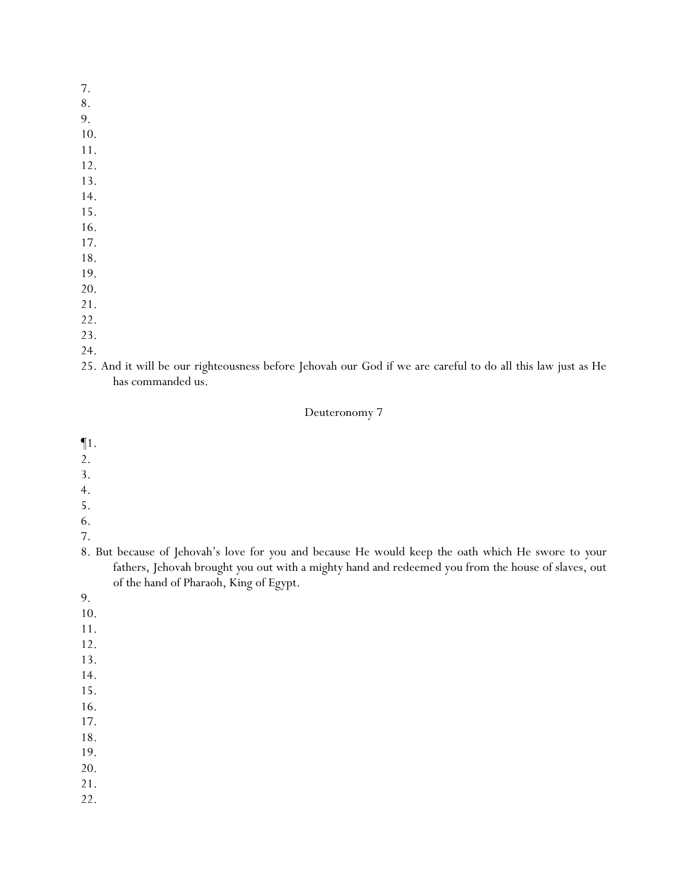- 7.
- 8.
- 9.
- 10.
- 11.
- 12. 13.
- 14.
- 15.
- 16.
- 17.
- 18.
- 19.
- 20.
- 21.
- 22.
- 23.
- 24.
- 25. And it will be our righteousness before Jehovah our God if we are careful to do all this law just as He has commanded us.

- ¶1.
- 2.
- 3.
- 4.
- 5.
- 6.
- 7.
- 8. But because of Jehovah's love for *y*ou and because He would keep the oath which He swore to *y*our fathers, Jehovah brought *y*ou out with a mighty hand and redeemed you from the house of slaves, out of the hand of Pharaoh, King of Egypt.
- 9.
- 10.
- 11.
- 12.
- 13.
- 14.
- 15.
- 16.
- 17. 18.
- 19.
- 20.
- 21.
- 22.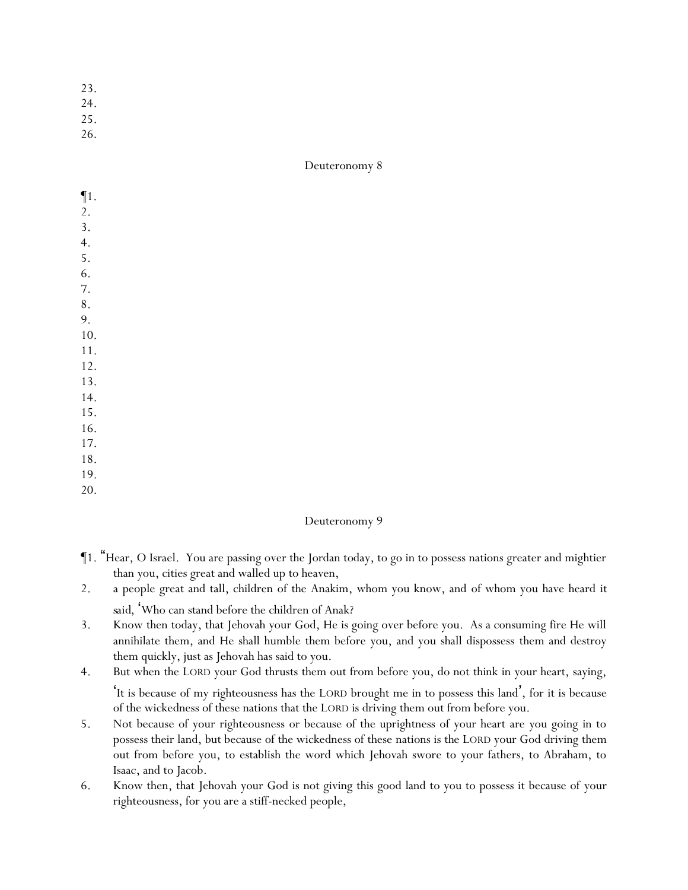- 23.
- 24.
- 25.
- 26.

| $\P1.$           |  |  |  |
|------------------|--|--|--|
| 2.               |  |  |  |
| $\overline{3}$ . |  |  |  |
| $\overline{4}$ . |  |  |  |
| 5.               |  |  |  |
| 6.               |  |  |  |
| 7.               |  |  |  |
| $\bf 8$ .        |  |  |  |
| 9.               |  |  |  |
| $10.$            |  |  |  |
| 11.              |  |  |  |
| 12.              |  |  |  |
| 13.              |  |  |  |
| 14.              |  |  |  |
| 15.              |  |  |  |
| 16.              |  |  |  |
| 17.              |  |  |  |
| 18.              |  |  |  |
| 19.              |  |  |  |
| 20.              |  |  |  |

- ¶1. "Hear, O Israel. You are passing over the Jordan today, to go in to possess nations greater and mightier than you, cities great and walled up to heaven,
- 2. a people great and tall, children of the Anakim, whom you know, and of whom you have heard *it said*, 'Who can stand before the children of Anak?
- 3. Know then today, that Jehovah your God, He is going over before you. As a consuming fire He will annihilate them, and He shall humble them before you, and you shall dispossess them and destroy them quickly, just as Jehovah has said to you.
- 4. But when the LORD your God thrusts them out from before you, do not think in your heart, saying, 'It is because of my righteousness has the LORD brought me in to possess this land', for it is because of the wickedness of these nations that the LORD is driving them out from before you.
- 5. Not because of your righteousness or because of the uprightness of your heart are you going in to possess their land, but because of the wickedness of these nations is the LORD your God driving them out from before you, to establish the word which Jehovah swore to your fathers, to Abraham, to Isaac, and to Jacob.
- 6. Know then, that Jehovah your God is not giving this good land to you to possess it because of your righteousness, for you are a stiff-necked people,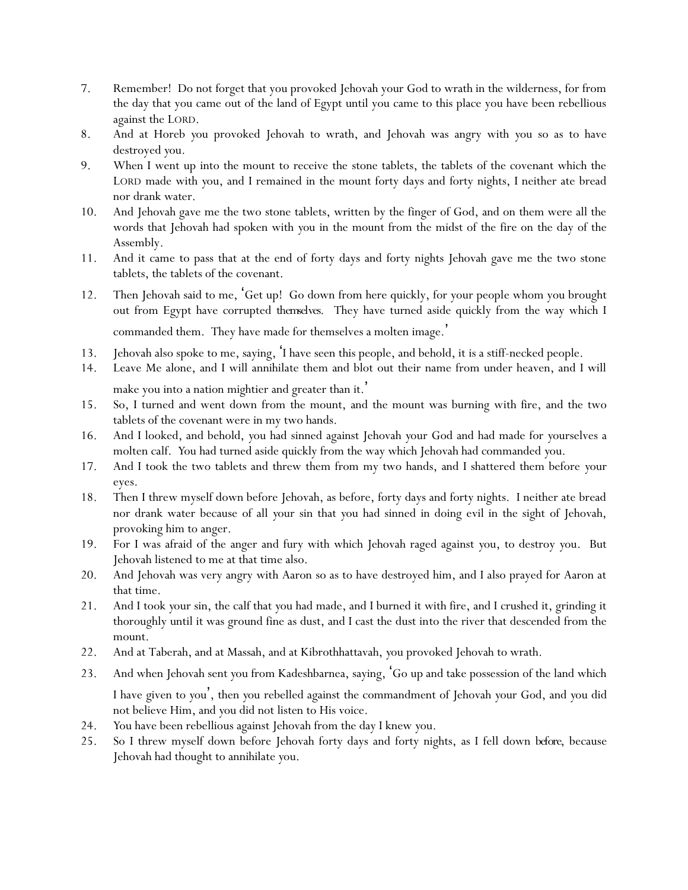- 7. Remember! Do not forget that you provoked Jehovah your God to wrath in the wilderness, for from the day that you came out of the land of Egypt until you came to this place you have been rebellious against the LORD.
- 8. And at Horeb *y*ou provoked Jehovah to wrath, and Jehovah was angry with *y*ou so as to have destroyed *y*ou.
- 9. When I went up into the mount to receive the stone tablets, the tablets of the covenant which the LORD made with *y*ou, and I remained in the mount forty days and forty nights, I neither ate bread nor drank water.
- 10. And Jehovah gave me the two stone tablets, written by the finger of God, and on them were all the words that Jehovah had spoken with *y*ou in the mount from the midst of the fire on the day of the Assembly.
- 11. And it came to pass that at the end of forty days and forty nights Jehovah gave me the two stone tablets, the tablets of the covenant.
- 12. Then Jehovah said to me, 'Get up! Go down from here quickly, for your people whom you brought out from Egypt have corrupted *themselves*. They have turned aside quickly from the way which I commanded them. They have made for themselves a molten image. '
- 13. Jehovah also spoke to me, saying, 'I have seen this people, and behold, it is a stiff-necked people.
- 14. Leave Me alone, and I will annihilate them and blot out their name from under heaven, and I will make you into a nation mightier and greater than it. '
- 15. So, I turned and went down from the mount, and the mount was burning with fire, and the two tablets of the covenant were in my two hands.
- 16. And I looked, and behold, *y*ou had sinned against Jehovah *y*our God and had made for *y*ourselves a molten calf. *Y*ou had turned aside quickly from the way which Jehovah had commanded *y*ou.
- 17. And I took the two tablets and threw them from my two hands, and I shattered them before *y*our eyes.
- 18. Then I threw myself down before Jehovah, as before, forty days and forty nights. I neither ate bread nor drank water because of all *y*our sin that *y*ou had sinned in doing evil in the sight of Jehovah, provoking him to anger.
- 19. For I was afraid of the anger and fury with which Jehovah raged against *y*ou, to destroy *y*ou. But Jehovah listened to me at that time also.
- 20. And Jehovah was very angry with Aaron so as to have destroyed him, and I also prayed for Aaron at that time.
- 21. And I took *y*our sin, the calf that *y*ou had made, and I burned it with fire, and I crushed it, grinding it thoroughly until it was ground fine as dust, and I cast the dust into the river that descended from the mount.
- 22. And at Taberah, and at Massah, and at Kibrothhattavah, *y*ou provoked Jehovah to wrath.
- 23. And when Jehovah sent *y*ou from Kadeshbarnea, saying, 'Go up and take possession of the land which I have given to *y*ou', then *y*ou rebelled against the commandment of Jehovah *y*our God, and *y*ou did not believe Him, and *y*ou did not listen to His voice.
- 24. *Y*ou have been rebellious against Jehovah from the day I knew *y*ou.
- 25. So I threw myself down before Jehovah forty days and forty nights, as I fell down *before*, because Jehovah had thought to annihilate *y*ou.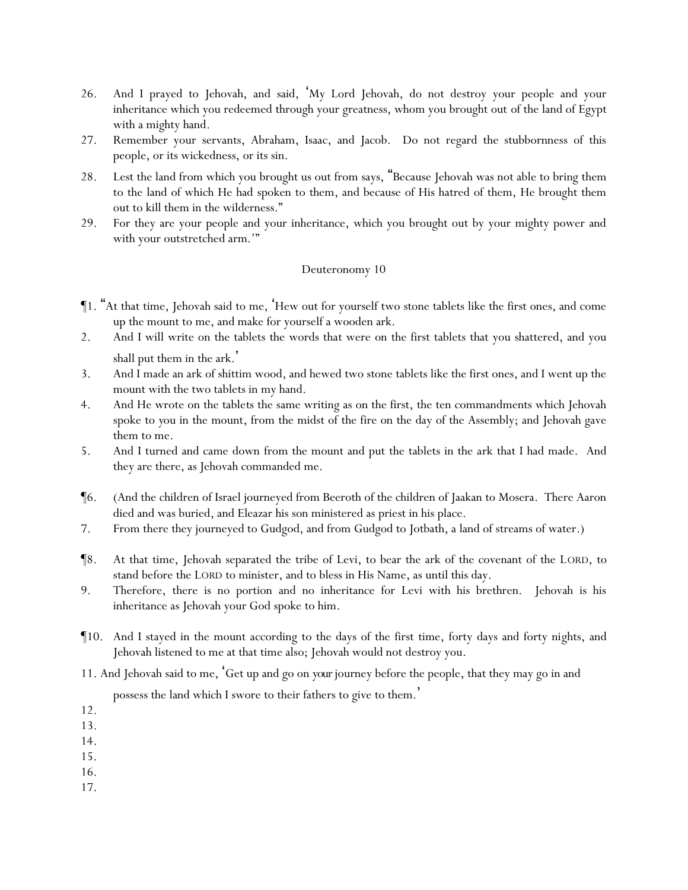- 26. And I prayed to Jehovah, and said, 'My Lord Jehovah, do not destroy your people and your inheritance which you redeemed through your greatness, whom you brought out of the land of Egypt with a mighty hand.
- 27. Remember your servants, Abraham, Isaac, and Jacob. Do not regard the stubbornness of this people, or its wickedness, or its sin.
- 28. Lest the land from which you brought us out from says, "Because Jehovah was not able to bring them to the land of which He had spoken to them, and because of His hatred of them, He brought them out to kill them in the wilderness."
- 29. For they are your people and your inheritance, which you brought out by your mighty power and with your outstretched arm."

- ¶1. "At that time, Jehovah said to me, 'Hew out for yourself two stone tablets like the first ones, and come up the mount to me, and make for yourself a wooden ark.
- 2. And I will write on the tablets the words that were on the first tablets that you shattered, and you shall put them in the ark.'
- 3. And I made an ark of shittim wood, and hewed two stone tablets like the first ones, and I went up the mount with the two tablets in my hand.
- 4. And He wrote on the tablets the same writing as on the first, the ten commandments which Jehovah spoke to *y*ou in the mount, from the midst of the fire on the day of the Assembly; and Jehovah gave them to me.
- 5. And I turned and came down from the mount and put the tablets in the ark that I had made. And they are there, as Jehovah commanded me.
- ¶6. (And the children of Israel journeyed from Beeroth of the children of Jaakan to Mosera. There Aaron died and was buried, and Eleazar his son ministered as priest in his place.
- 7. From there they journeyed to Gudgod, and from Gudgod to Jotbath, a land of streams of water.)
- ¶8. At that time, Jehovah separated the tribe of Levi, to bear the ark of the covenant of the LORD, to stand before the LORD to minister, and to bless in His Name, as until this day.
- 9. Therefore, there is no portion and no inheritance for Levi with his brethren. Jehovah is his inheritance as Jehovah your God spoke to him.
- ¶10. And I stayed in the mount according to the days of the first time, forty days and forty nights, and Jehovah listened to me at that time also; Jehovah would not destroy you.
- 11. And Jehovah said to me, 'Get up and go on *your*journey before the people, that they may go in and

possess the land which I swore to their fathers to give to them.'

12.

- 14.
- 15.
- 16.
- 17.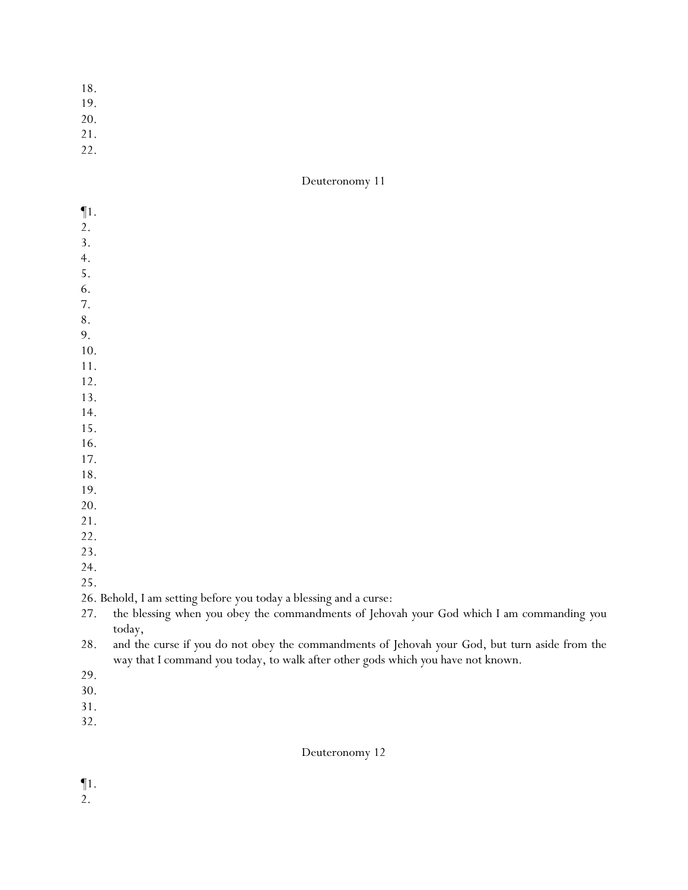- 18.
- 19.
- 20.
- 21.
- 22.

- ¶1. 2. 3. 4. 5. 6. 7. 8. 9. 10. 11. 12. 13. 14. 15. 16. 17. 18. 19. 20. 21. 22. 23. 24. 25. 26. Behold, I am setting before you today a blessing and a curse: 27. the blessing when *y*ou obey the commandments of Jehovah *y*our God which I am commanding *y*ou
- today, 28. and the curse if *y*ou do not obey the commandments of Jehovah *y*our God, but turn aside from the
- way that I command *y*ou today, to walk after other gods which *y*ou have not known.
- 29.
- 30.
- 31.
- 32.

Deuteronomy 12

¶1.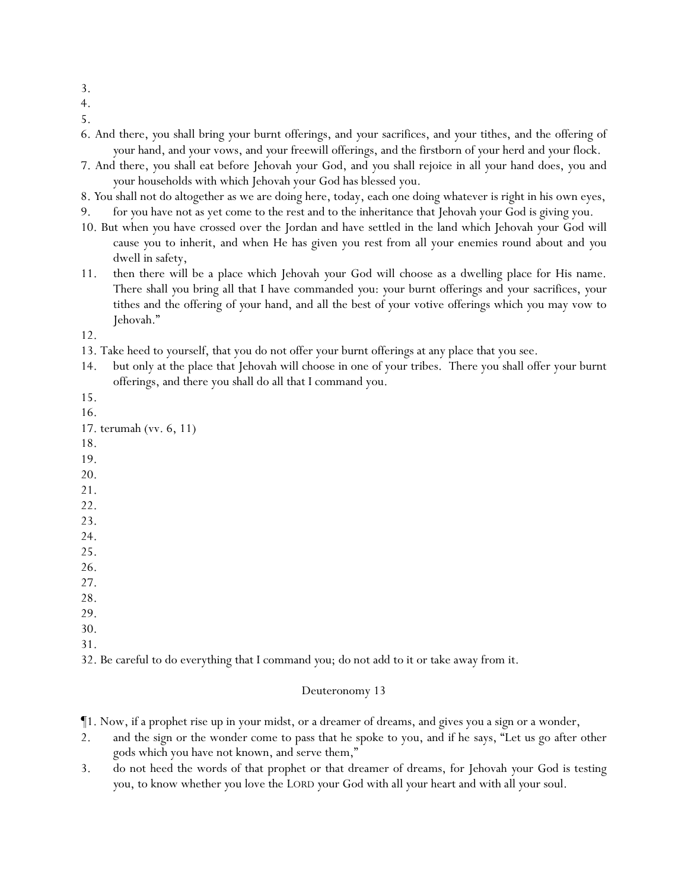- 3.
- 4.
- 5.
- 6. And there, *y*ou shall bring *y*our burnt offerings, and *y*our sacrifices, and *y*our tithes, and the offering of *y*our hand, and *y*our vows, and *y*our freewill offerings, and the firstborn of *y*our herd and *y*our flock.
- 7. And there, *y*ou shall eat before Jehovah *y*our God, and *y*ou shall rejoice in all *y*our hand does, *y*ou and *y*our households with which Jehovah your God has blessed you.
- 8. *Y*ou shall not do altogether as we are doing here, today, each one doing whatever is right in his own eyes,
- 9. for *y*ou have not as yet come to the rest and to the inheritance that Jehovah your God is giving you.
- 10. But when *y*ou have crossed over the Jordan and have settled in the land which Jehovah *y*our God will cause *y*ou to inherit, and when He has given you rest from all your enemies round about and *y*ou dwell in safety,
- 11. then there will be a place which Jehovah *y*our God will choose as a dwelling place for His name. There shall *y*ou bring all that I have commanded *y*ou: *y*our burnt offerings and *y*our sacrifices, *y*our tithes and the offering of *y*our hand, and all the best of *y*our votive offerings which *y*ou may vow to Jehovah."
- 12.
- 13. Take heed to yourself, that you do not offer your burnt offerings at any place that you see.
- 14. but only at the place that Jehovah will choose in one of your tribes. There you shall offer your burnt offerings, and there you shall do all that I command you.
- 15.
- 16.

- 18.
- 19.
- 20.
- 21.
- 22.
- 23.
- 24.
- 25.
- 26. 27.
- 28.
- 29.
- 30.
- 31.

32. Be careful to do everything that I command *y*ou; do not add to it or take away from it.

- ¶1. Now, if a prophet rise up in your midst, or a dreamer of dreams, and gives you a sign or a wonder,
- 2. and the sign or the wonder come to pass that he spoke to you, and if he says, "Let us go after other gods which you have not known, and serve them,"
- 3. do not heed the words of that prophet or that dreamer of dreams, for Jehovah *y*our God is testing *y*ou, to know whether *y*ou love the LORD *y*our God with all *y*our heart and with all *y*our soul.

<sup>17.</sup> terumah (vv. 6, 11)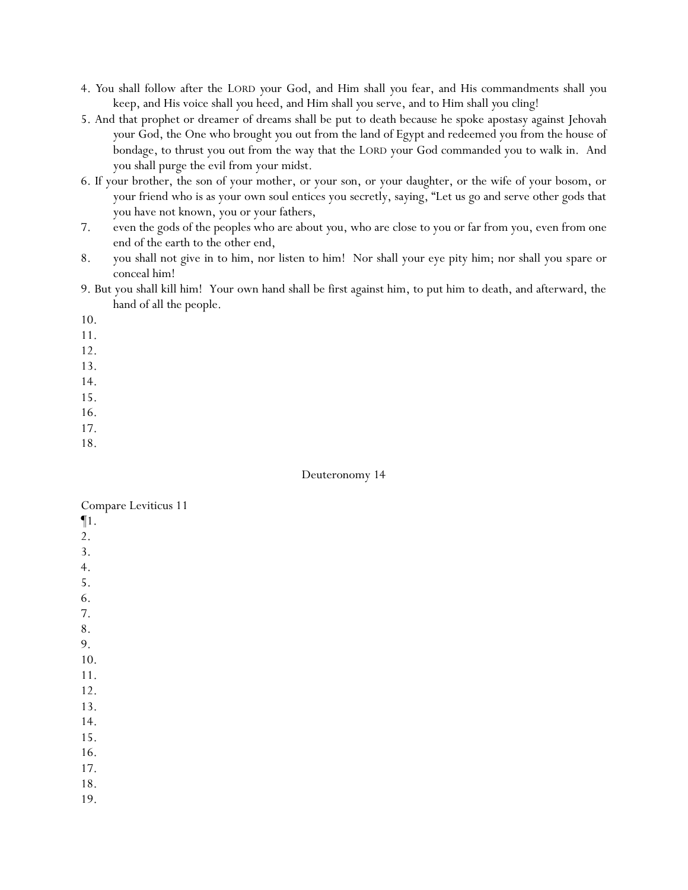- 4. *Y*ou shall follow after the LORD *y*our God, and Him shall *y*ou fear, and His commandments shall *y*ou keep, and His voice shall *y*ou heed, and Him shall *y*ou serve, and to Him shall *y*ou cling!
- 5. And that prophet or dreamer of dreams shall be put to death because he spoke apostasy against Jehovah *y*our God, the One who brought *y*ou out from the land of Egypt and redeemed you from the house of bondage, to thrust you out from the way that the LORD your God commanded you to walk in. And you shall purge the evil from your midst.
- 6. If your brother, the son of your mother, or your son, or your daughter, or the wife of your bosom, or your friend who is as your own soul entices you secretly, saying, "Let us go and serve other gods that you have not known, you or your fathers,
- 7. even the gods of the peoples who are about *y*ou, who are close to you or far from you, even from one end of the earth to the other end,
- 8. you shall not give in to him, nor listen to him! Nor shall your eye pity him; nor shall you spare or conceal him!
- 9. But you shall kill him! Your own hand shall be first against him, to put him to death, and afterward, the hand of all the people.
- 10.

- 12.
- 13.
- 14.
- 15.
- 16.
- 17.
- 18.

#### Deuteronomy 14

| Compare Leviticus 11 |  |
|----------------------|--|
|----------------------|--|

- ¶1.
- 2.
- 3.
- 4.
- 5.
- 6.

- 8.
- 9.
- 10. 11.
- 12.
- 13.
- 14.
- 15.
- 16.
- 17.
- 18.
- 19.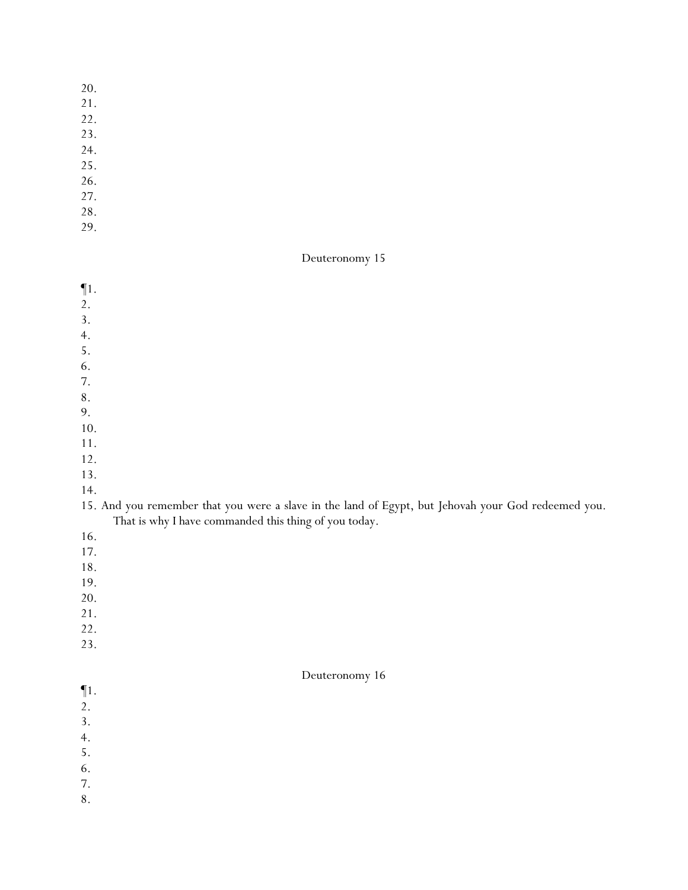- 20.
- 21.
- 22.
- 23.
- 24.
- 25.
- 26.
- 27.
- 28.
- 29.

- $\P1$ .
- 2.
- 3.
- 4.
- 5.
- 6.
- 7.
- 8.
- 9.
- 10.
- 11. 12.
- 13.
- 
- 14.

## 15. And you remember that you were a slave in the land of Egypt, but Jehovah your God redeemed you. That is why I have commanded this thing of you today.

- 16.
- 17.
- 18.
- 19.
- 20.
- 21.
- 22.
- 23.

- $\P1$ .
- 2.
- 3.
- 4.
- 5. 6.
- 7.
- 8.
	-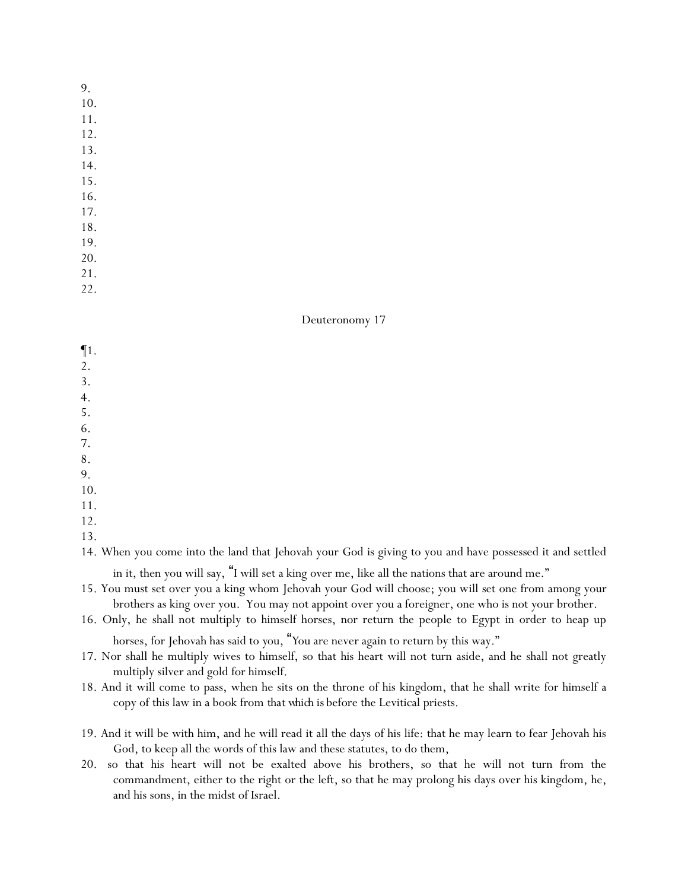- 10.
- 11.
- 12.
- 13.
- 14.
- 15. 16.
- 17.
- 18.
- 19.
- 20.
- 21.
- 22.

## Deuteronomy 17

- ¶1.
- 2.
- 3.
- 4.
- 5.
- 6.
- 7.
- 8. 9.
- 10.
- 11.
- 12.
- 13.

14. When you come into the land that Jehovah your God is giving to you and have possessed it and settled

in it, then you will say, "I will set a king over me, like all the nations that are around me."

- 15. You must set over you a king whom Jehovah your God will choose; you will set one from among your brothers as king over you. You may not appoint over you a foreigner, one who is not your brother.
- 16. Only, he shall not multiply to himself horses, nor return the people to Egypt in order to heap up

horses, for Jehovah has said to *y*ou, "*Y*ou are never again to return by this way."

- 17. Nor shall he multiply wives to himself, so that his heart will not turn aside, and he shall not greatly multiply silver and gold for himself.
- 18. And it will come to pass, when he sits on the throne of his kingdom, that he shall write for himself a copy of this law in a book from *that which is* before the Levitical priests.
- 19. And it will be with him, and he will read it all the days of his life: that he may learn to fear Jehovah his God, to keep all the words of this law and these statutes, to do them,
- 20. so that his heart will not be exalted above his brothers, so that he will not turn from the commandment, either to the right or the left, so that he may prolong his days over his kingdom, he, and his sons, in the midst of Israel.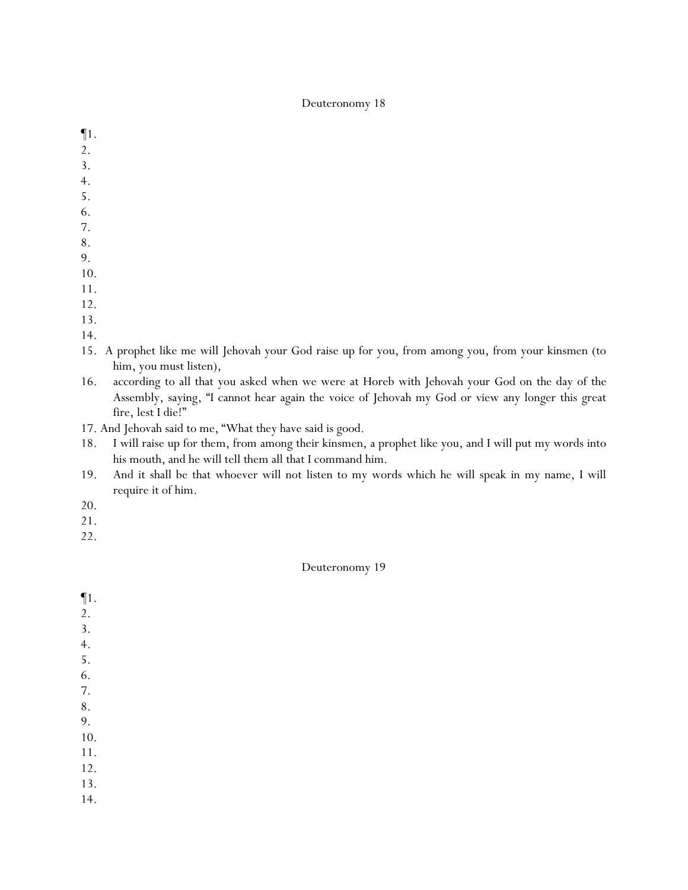- ¶1.
- 2.
- 3.
- 4.
- 5.
- 6.
- 7.
- 8.
- 9.
- 10.
- 11.
- 12.
- 13.
- 14.
- 15. A prophet like me will Jehovah your God raise up for you, from among you, from your kinsmen (to him, you must listen),
- 16. according to all that you asked when we were at Horeb with Jehovah your God on the day of the Assembly, saying, "I cannot hear again the voice of Jehovah my God or view any longer this great fire, lest I die!"
- 17. And Jehovah said to me, "What they have said is good.
- 18. I will raise up for them, from among their kinsmen, a prophet like you, and I will put my words into his mouth, and he will tell them all that I command him.
- 19. And it shall be that whoever will not listen to my words which he will speak in my name, I will require it of him.
- 20.
- 21.
- 22.

- ¶1.
- 2.
- 3.
- 4.
- 5.
- 6.
- 7.
- 8.
- 9. 10.
- 
- 11. 12.
- 
- 13. 14.
-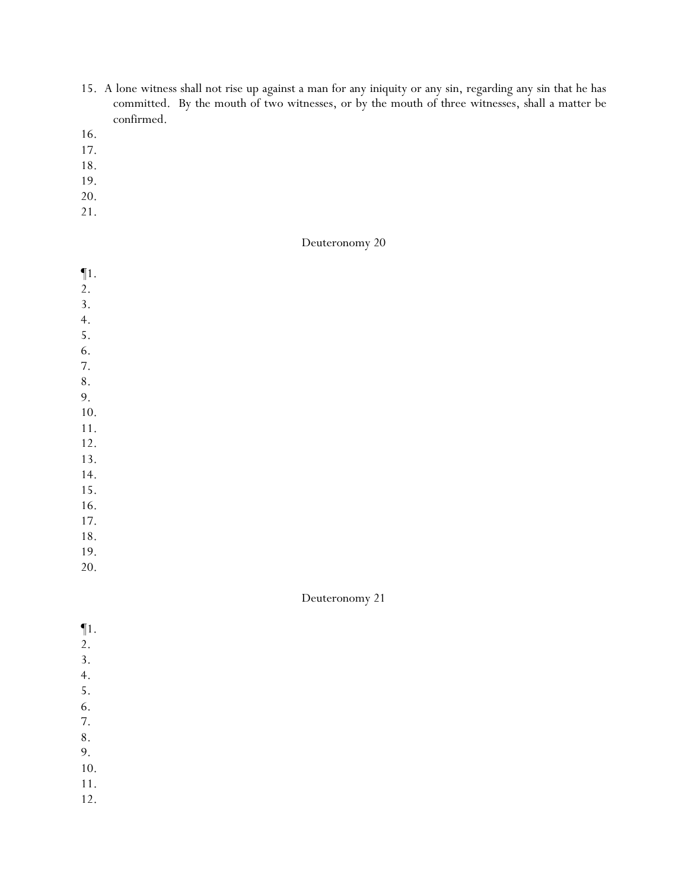- 15. A lone witness shall not rise up against a man for any iniquity or any sin, regarding any sin that he has committed. By the mouth of two witnesses, or by the mouth of three witnesses, shall a matter be confirmed.
- 16.
- 17.
- 18.
- 19.
- 20.
- 21.

¶1. 2. 3. 4. 5. 6. 7. 8. 9. 10. 11. 12. 13. 14. 15. 16. 17.

- 18. 19.
- 20.

| $\P1.$<br>$\overline{2}$ .<br>3.<br>4. |
|----------------------------------------|
|                                        |
|                                        |
|                                        |
| 5.                                     |
| 6.                                     |
| 7.                                     |
| 8 <sub>1</sub>                         |
| 9.                                     |
| 10.                                    |
| $11.$                                  |
| 12.                                    |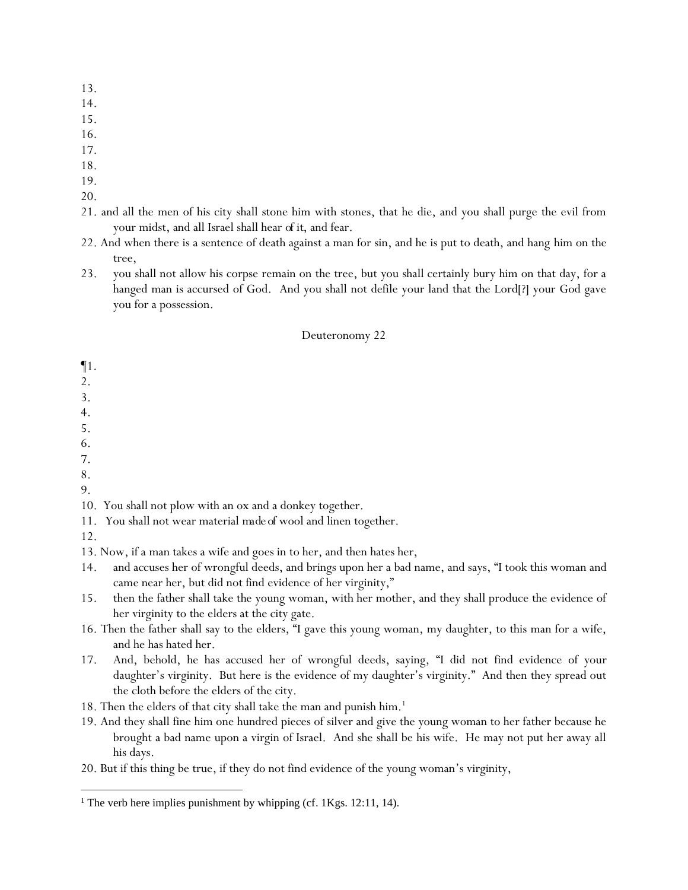- 13.
- 14.
- 15.
- 16.
- 17.
- 18.
- 19.
- 20.
- 21. and all the men of his city shall stone him with stones, that he die, and you shall purge the evil from your midst, and all Israel shall hear *of it*, and fear.
- 22. And when there is a sentence of death against a man for sin, and he is put to death, and hang him on the tree,
- 23. you shall not allow his corpse remain on the tree, but you shall certainly bury him on that day, for a hanged man is accursed of God. And you shall not defile your land that the Lord[?] your God gave you for a possession.

- ¶1.
- 2.
- 3.
- 4.
- 5.
- 6.
- 7.
- 8.
- 9.

10. You shall not plow with an ox and a donkey together.

- 11. You shall not wear material *made of* wool and linen together.
- 12.

13. Now, if a man takes a wife and goes in to her, and then hates her,

- 14. and accuses her of wrongful deeds, and brings upon her a bad name, and says, "I took this woman and came near her, but did not find evidence of her virginity,"
- 15. then the father shall take the young woman, with her mother, and they shall produce the evidence of her virginity to the elders at the city gate.
- 16. Then the father shall say to the elders, "I gave this young woman, my daughter, to this man for a wife, and he has hated her.
- 17. And, behold, he has accused her of wrongful deeds, saying, "I did not find evidence of your daughter's virginity. But here is the evidence of my daughter's virginity." And then they spread out the cloth before the elders of the city.
- 18. Then the elders of that city shall take the man and punish him.<sup>1</sup>
- 19. And they shall fine him one hundred pieces of silver and give the young woman to her father because he brought a bad name upon a virgin of Israel. And she shall be his wife. He may not put her away all his days.
- 20. But if this thing be true, if they do not find evidence of the young woman's virginity,

<sup>&</sup>lt;sup>1</sup> The verb here implies punishment by whipping (cf.  $1Kgs. 12:11, 14$ ).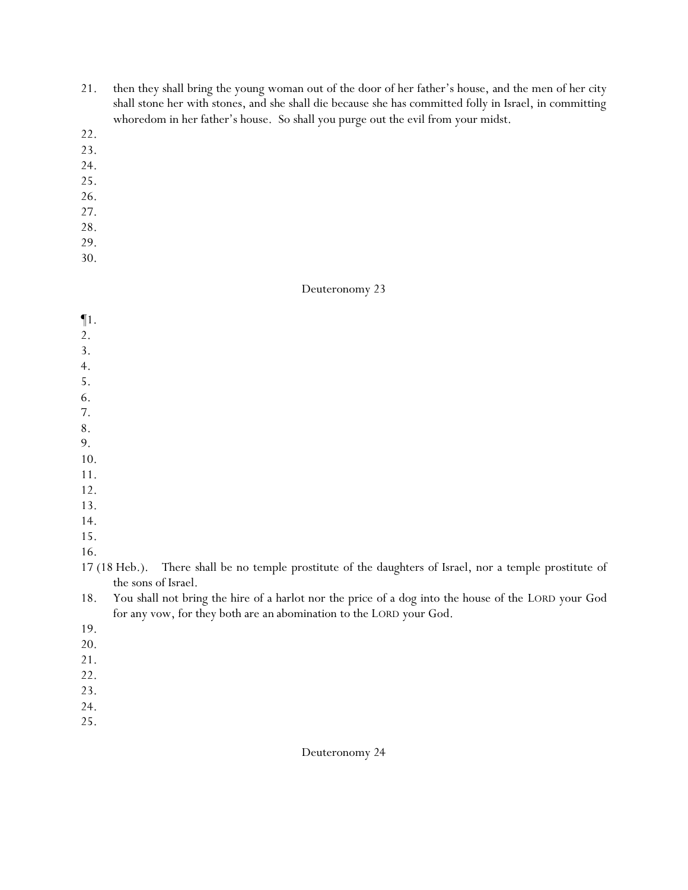- 21. then they shall bring the young woman out of the door of her father's house, and the men of her city shall stone her with stones, and she shall die because she has committed folly in Israel, in committing whoredom in her father's house. So shall you purge out the evil from your midst.
- 22.
- 23.
- 24.
- 25.
- 26.
- 27.
- 28.
- 29.
- 30.

¶1. 2. 3. 4. 5. 6. 7. 8. 9. 10. 11. 12. 13. 14. 15.

16.

- 19.
- 20.
- 21.
- 22.
- 23.
- 24.
- 25.

<sup>17 (18</sup> Heb.). There shall be no temple prostitute of the daughters of Israel, nor a temple prostitute of the sons of Israel.

<sup>18.</sup> You shall not bring the hire of a harlot nor the price of a dog into the house of the LORD your God for any vow, for they both are *an* abomination to the LORD your God.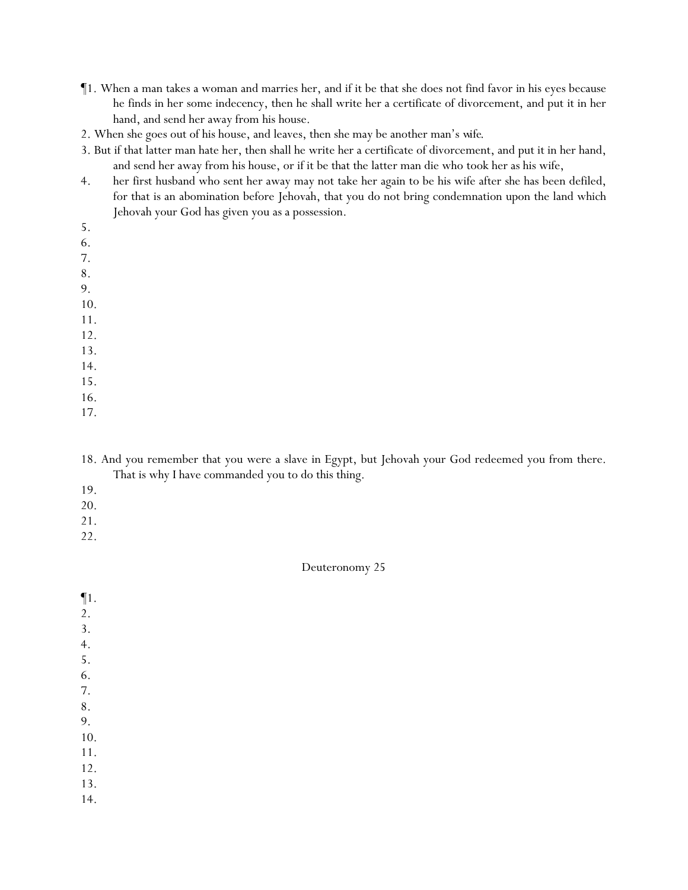- ¶1. When a man takes a woman and marries her, and if it be that she does not find favor in his eyes because he finds in her some indecency, then he shall write her a certificate of divorcement, and put it in her hand, and send her away from his house.
- 2. When she goes out of his house, and leaves, then she may be another man's *wife*.
- 3. But if that latter man hate her, then shall he write her a certificate of divorcement, and put it in her hand, and send her away from his house, or if it be that the latter man die who took her as his wife,
- 4. her first husband who sent her away may not take her again to be his wife after she has been defiled, for that is an abomination before Jehovah, that you do not bring condemnation upon the land which Jehovah your God has given you as a possession.
- 5.
- 6.
- 7.
- 8.
- 9.
- 10.
- 11.
- 12.
- 13.
- 14.
- 15. 16.
- 17.
- 18. And you remember that you were a slave in Egypt, but Jehovah your God redeemed you from there. That is why I have commanded you to do this thing.
- 19.
- 20.
- 21.
- 22.

- ¶1. 2.
- 3.
- 4.
- 5.
- 6.
- 7.
- 8. 9.
- 10.
- 11.
- 12.
- 13.
- 14.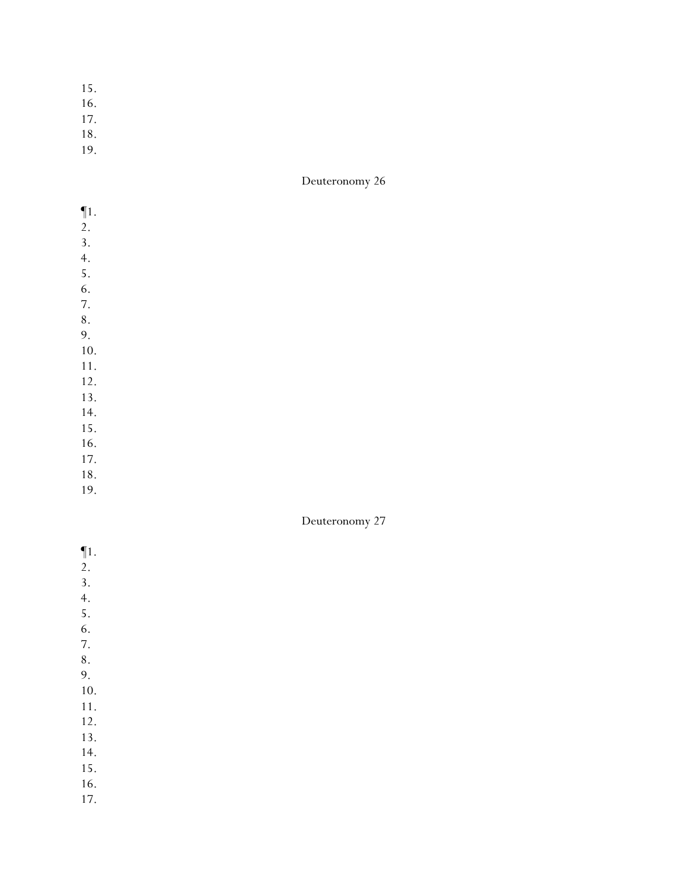- 15.
- 16.
- 17.
- 18.
- 19.

| $\P1.$    |  |  |  |
|-----------|--|--|--|
| 2.        |  |  |  |
| 3.        |  |  |  |
| 4.        |  |  |  |
| 5.        |  |  |  |
| 6.        |  |  |  |
| 7.        |  |  |  |
| $\bf 8$ . |  |  |  |
| 9.        |  |  |  |
| $10.$     |  |  |  |
| 11.       |  |  |  |
| 12.       |  |  |  |
| 13.       |  |  |  |
| 14.       |  |  |  |
| 15.       |  |  |  |
| 16.       |  |  |  |
| 17.       |  |  |  |
| 18.       |  |  |  |
| 19.       |  |  |  |
|           |  |  |  |

- ¶1.  $\overline{2}$ .
- 3. 4.
- 5.
- 6.
- 7.
- 
- 8.
- 9. 10.
- 11.
- 12.
- 13.
- 14.
- 15.
- 16.
- 17.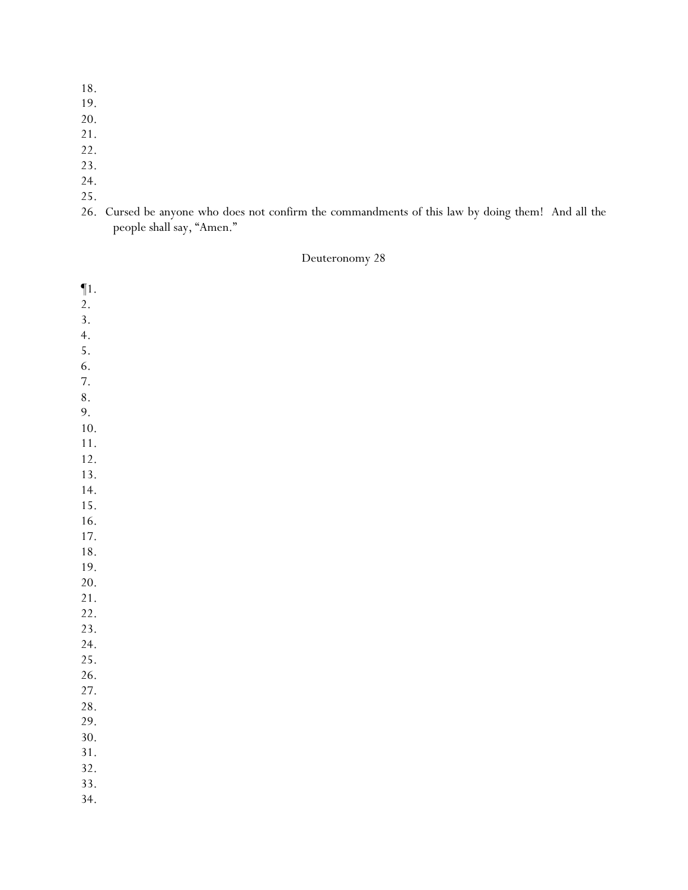- 18.
- 19.
- 20.
- 21.
- 22.
- 23.
- 24.
- 25.
- 26. Cursed be anyone who does not confirm the commandments of this law by doing them! And all the people shall say, "Amen."

| $\P{1}.$ |  |  |  |
|----------|--|--|--|
| 2.       |  |  |  |
| 3.       |  |  |  |
| 4.       |  |  |  |
| 5.       |  |  |  |
|          |  |  |  |
| 6.       |  |  |  |
| 7.       |  |  |  |
| 8.       |  |  |  |
| 9.       |  |  |  |
| $10.$    |  |  |  |
| $11. \,$ |  |  |  |
| 12.      |  |  |  |
| 13.      |  |  |  |
| 14.      |  |  |  |
| 15.      |  |  |  |
| 16.      |  |  |  |
| 17.      |  |  |  |
| $18. \,$ |  |  |  |
| 19.      |  |  |  |
| 20.      |  |  |  |
| 21.      |  |  |  |
| 22.      |  |  |  |
| 23.      |  |  |  |
| 24.      |  |  |  |
| 25.      |  |  |  |
| 26.      |  |  |  |
| 27.      |  |  |  |
| 28.      |  |  |  |
| 29.      |  |  |  |
| 30.      |  |  |  |
| 31.      |  |  |  |
| 32.      |  |  |  |
| 33.      |  |  |  |
|          |  |  |  |
| 34.      |  |  |  |
|          |  |  |  |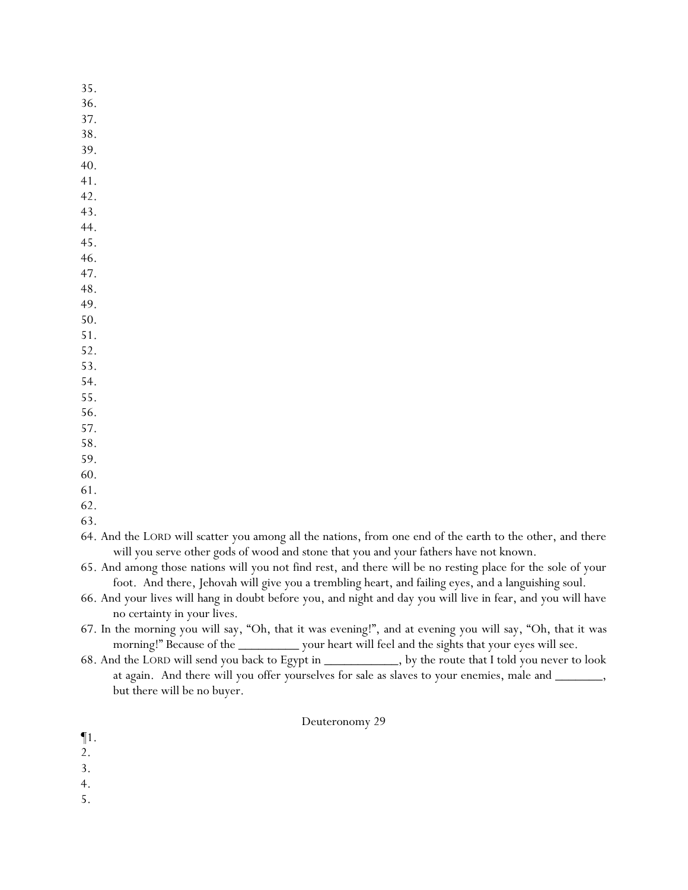- 35.
- 36.
- 37.
- 38.
- 39.
- 40.
- 41. 42.
- 43.
- 44.
- 45.
- 46.
- 47.
- 48.
- 49.
- 50.
- 51. 52.
- 53.
- 54.
- 55.
- 56.
- 57.
- 58.
- 59.
- 60.
- 61.

63.

64. And the LORD will scatter you among all the nations, from one end of the earth to the other, and there will you serve other gods of wood and stone that you and your fathers have not known.

65. And among those nations will you not find rest, and there will be no resting place for the sole of your foot. And there, Jehovah will give you a trembling heart, and failing eyes, and a languishing soul.

- 66. And your lives will hang in doubt before you, and night and day you will live in fear, and you will have no certainty in your lives.
- 67. In the morning you will say, "Oh, that it was evening!", and at evening you will say, "Oh, that it was morning!" Because of the \_\_\_\_\_\_\_\_\_ your heart will feel and the sights that your eyes will see.
- 68. And the LORD will send you back to Egypt in \_\_\_\_\_\_\_\_\_\_\_, by the route that I told you never to look at again. And there will you offer *y*ourselves for sale as slaves to your enemies, male and \_\_\_\_\_\_\_, but there will be no buyer.

- ¶1.
- 2.
- 3.
- 4.
- 5.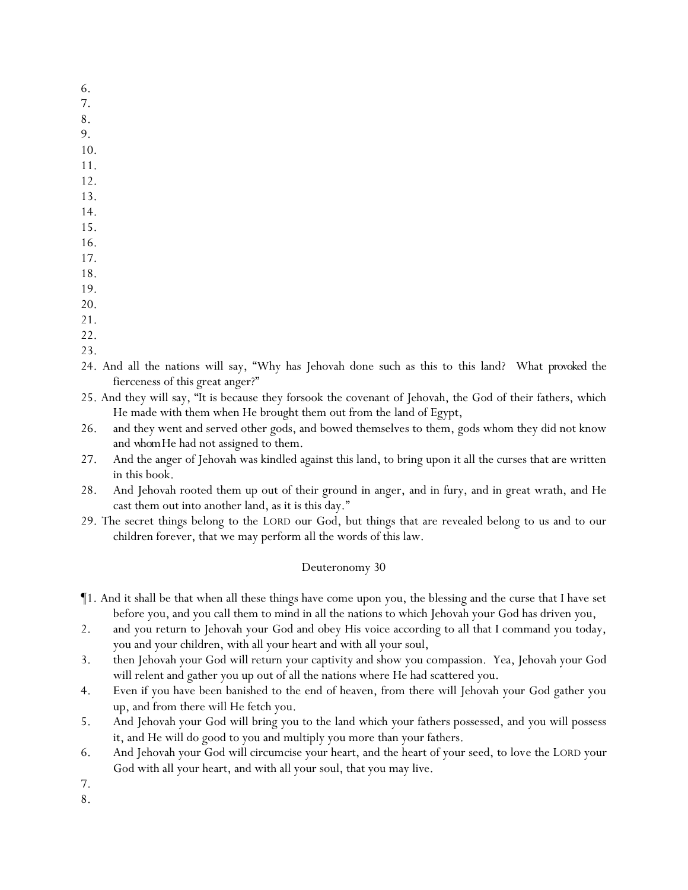- 6.
- 7.
- 8. 9.
- 10.
- 11.
- 12.
- 13.
- 14.
- 15.
- 16.
- 17.
- 18.
- 19.
- 20.
- 21.
- 22.
- 23.
- 24. And all the nations will say, "Why has Jehovah done such as this to this land? What *provoked* the fierceness of this great anger?"
- 25. And they will say, "It is because they forsook the covenant of Jehovah, the God of their fathers, which He made with them when He brought them out from the land of Egypt,
- 26. and they went and served other gods, and bowed themselves to them, gods whom they did not know and *whom*He had not assigned to them.
- 27. And the anger of Jehovah was kindled against this land, to bring upon it all the curses that are written in this book.
- 28. And Jehovah rooted them up out of their ground in anger, and in fury, and in great wrath, and He cast them out into another land, as it is this day."
- 29. The secret things belong to the LORD our God, but things that are revealed belong to us and to our children forever, that we may perform all the words of this law.

- ¶1. And it shall be that when all these things have come upon you, the blessing and the curse that I have set before you, and you call them to mind in all the nations to which Jehovah your God has driven you,
- 2. and you return to Jehovah your God and obey His voice according to all that I command you today, you and your children, with all your heart and with all your soul,
- 3. then Jehovah your God will return your captivity and show you compassion. Yea, Jehovah your God will relent and gather you up out of all the nations where He had scattered you.
- 4. Even if you have been banished to the end of heaven, from there will Jehovah your God gather you up, and from there will He fetch you.
- 5. And Jehovah your God will bring you to the land which your fathers possessed, and you will possess it, and He will do good to you and multiply you more than your fathers.
- 6. And Jehovah your God will circumcise your heart, and the heart of your seed, to love the LORD your God with all your heart, and with all your soul, that you may live.
- 7.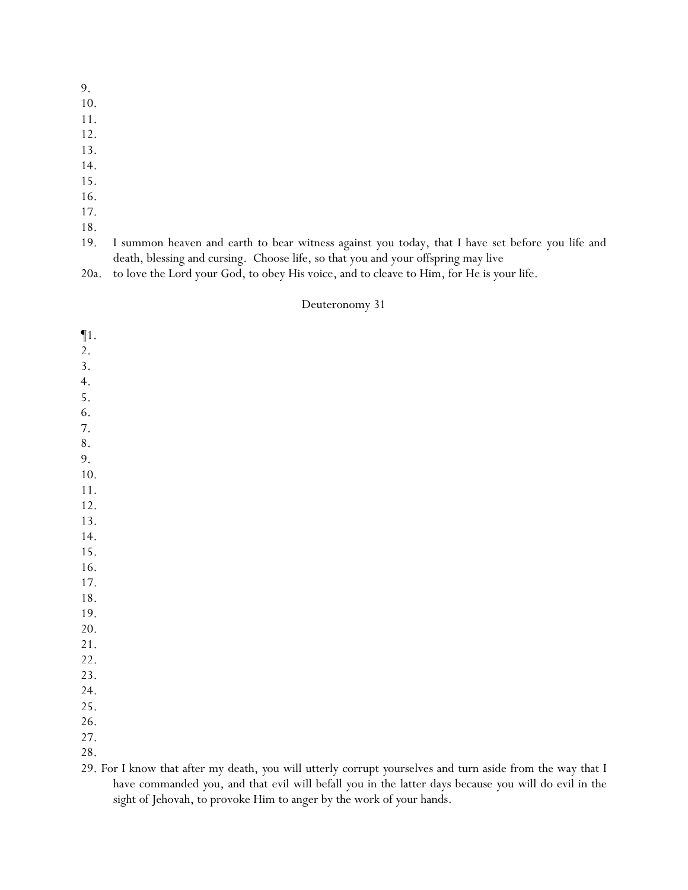10.

11.

- 12.
- 13.
- 14.
- 15.
- 16.
- 17.
- 18.
- 19. I summon heaven and earth to bear witness against you today, that I have set before you life and death, blessing and cursing. Choose life, so that you and your offspring may live
- 20a. to love the Lord your God, to obey His voice, and to cleave to Him, for He is your life.

### Deuteronomy 31

| $\P1.$                                                                                                     |
|------------------------------------------------------------------------------------------------------------|
| 2.                                                                                                         |
| 3.                                                                                                         |
| 4.                                                                                                         |
| 5.                                                                                                         |
| 6.                                                                                                         |
| 7.                                                                                                         |
| $8\,.$                                                                                                     |
| 9.                                                                                                         |
| 10.                                                                                                        |
| 11.                                                                                                        |
| 12.                                                                                                        |
| 13.                                                                                                        |
| 14.                                                                                                        |
| 15.                                                                                                        |
| 16.                                                                                                        |
| 17.                                                                                                        |
| 18.                                                                                                        |
| 19.                                                                                                        |
| 20.                                                                                                        |
| 21.                                                                                                        |
| 22.                                                                                                        |
| 23.                                                                                                        |
| 24.                                                                                                        |
| 25.                                                                                                        |
| 26.                                                                                                        |
| 27.                                                                                                        |
| 28.                                                                                                        |
| 29. For I know that after my death, you will utterly corrupt yourselves and turn aside from the way that I |
| have commanded you, and that evil will befall you in the latter days because you will do evil in the       |

sight of Jehovah, to provoke Him to anger by the work of *y*our hands.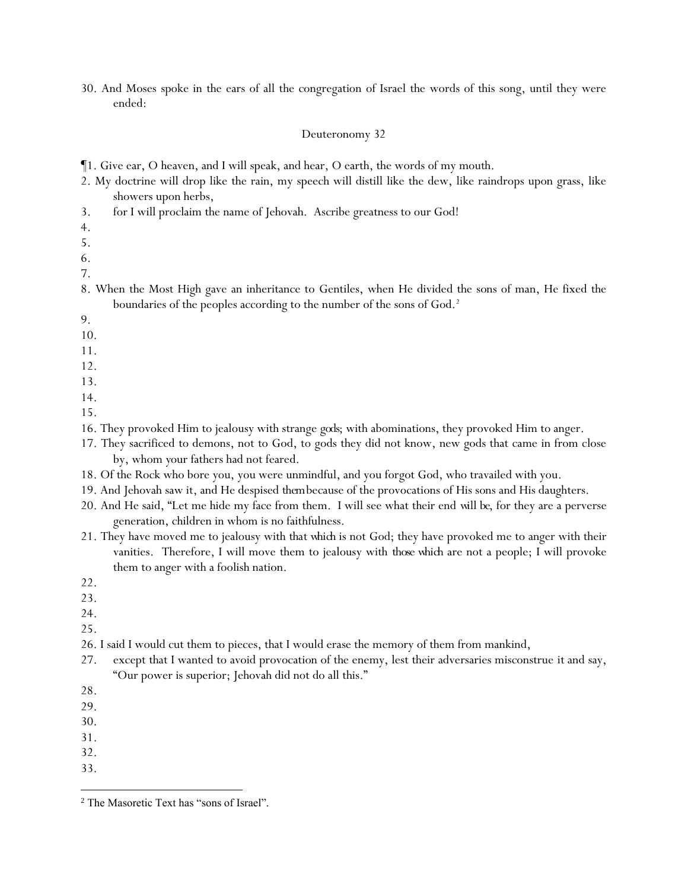30. And Moses spoke in the ears of all the congregation of Israel the words of this song, until they were ended:

- ¶1. Give ear, O heaven, and I will speak, and hear, O earth, the words of my mouth.
- 2. My doctrine will drop like the rain, my speech will distill like the dew, like raindrops upon grass, like showers upon herbs,
- 3. for I will proclaim the name of Jehovah. Ascribe greatness to our God!
- 4.
- 5.
- 6.
- 7.
- 8. When the Most High gave an inheritance to Gentiles, when He divided the sons of man, He fixed the boundaries of the peoples according to the number of the sons of God.<sup>2</sup>
- 9.
- 10.
- 11.
- 12.
- 13.
- 14.
- 15.
- 16. They provoked Him to jealousy with strange *gods*; with abominations, they provoked Him to anger.
- 17. They sacrificed to demons, not to God, to gods they did not know, new gods that came in from close by, whom *y*our fathers had not feared.
- 18. Of the Rock who bore you, you were unmindful, and you forgot God, who travailed with you.
- 19. And Jehovah saw it, and He despised *them*because of the provocations of His sons and His daughters.
- 20. And He said, "Let me hide my face from them. I will see what their end *will be*, for they are a perverse generation, children in whom is no faithfulness.
- 21. They have moved me to jealousy with *that which* is not God; they have provoked me to anger with their vanities. Therefore, I will move them to jealousy with *those which* are not a people; I will provoke them to anger with a foolish nation.
- 22.
- 23.
- 24.
- 25.
- 26. I said I would cut them to pieces, that I would erase the memory of them from mankind,
- 27. except that I wanted to avoid provocation of the enemy, lest their adversaries misconstrue *it* and say, "Our power is superior; Jehovah did not do all this."
- 28.
- 29.
- 30.
- 31.
- 32.
- 33.

<sup>2</sup> The Masoretic Text has "sons of Israel".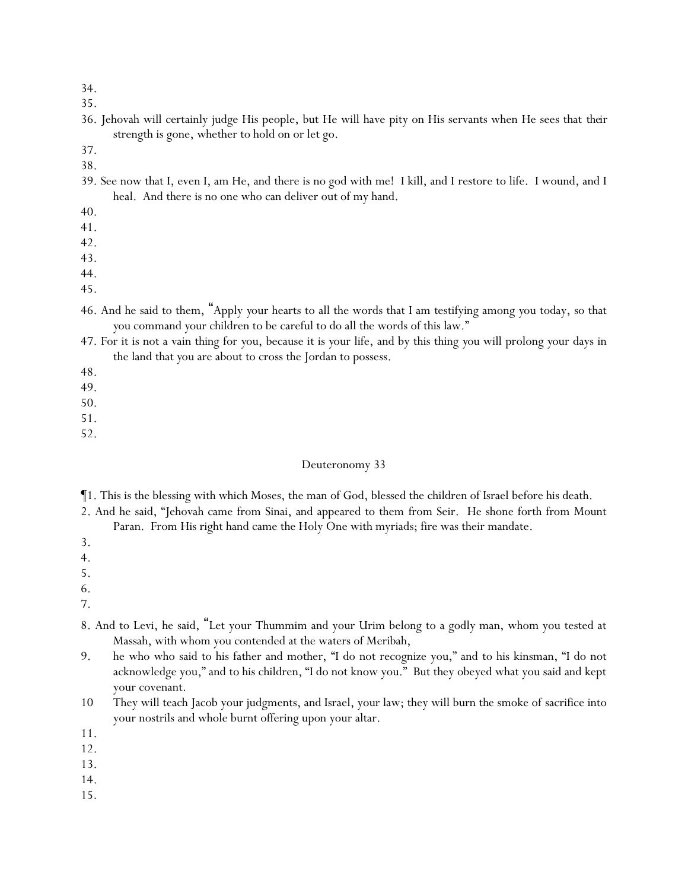35.

- 36. Jehovah will certainly judge His people, but He will have pity on His servants when He sees that *their* strength is gone, whether to hold on or let go.
- 37.
- 38.
- 39. See now that I, even I, am He, and there is no god with me! I kill, and I restore to life. I wound, and I heal. And there is no one who can deliver out of my hand.
- 40.
- 41.
- 42.
- 43.
- 44.
- 45.
- 46. And he said to them, "Apply *y*our hearts to all the words that I am testifying among *y*ou today, so that *y*ou command *y*our children to be careful to do all the words of this law."
- 47. For it is not a vain thing for *y*ou, because it is *y*our life, and by this thing *y*ou will prolong *y*our days in the land that *y*ou are about to cross the Jordan to possess.
- 48.
- 49.
- 50.
- 51.
- 52.

### Deuteronomy 33

¶1. This is the blessing with which Moses, the man of God, blessed the children of Israel before his death.

2. And he said, "Jehovah came from Sinai, and appeared to them from Seir. He shone forth from Mount Paran. From His right hand came the Holy One with myriads; fire was their mandate.

- 3.
- 4.
- 5.
- 6.

- 8. And to Levi, he said, "Let your Thummim and your Urim belong to a godly man, whom you tested at Massah, with whom you contended at the waters of Meribah,
- 9. he who who said to his father and mother, "I do not recognize you," and to his kinsman, "I do not acknowledge you," and to his children, "I do not know you." But they obeyed what you said and kept your covenant.
- 10 They will teach Jacob your judgments, and Israel, your law; they will burn the smoke of sacrifice into your nostrils and whole burnt offering upon your altar.
- 11.
- 12.
- 13.
- 14.
- 15.